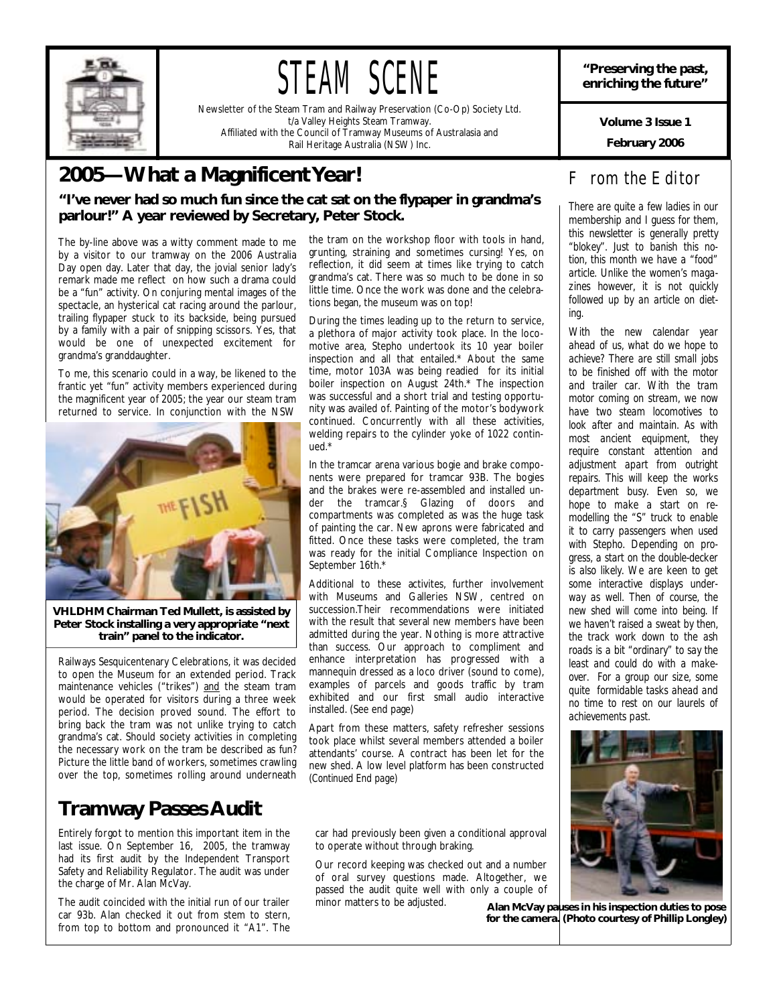

# STEAM SCENE

Newsletter of the Steam Tram and Railway Preservation (Co-Op) Society Ltd. t/a Valley Heights Steam Tramway. Affiliated with the Council of Tramway Museums of Australasia and Rail Heritage Australia (NSW) Inc.

### **2005—What a Magnificent Year!**

### **"I've never had so much fun since the cat sat on the flypaper in grandma's parlour!" A year reviewed by Secretary, Peter Stock.**

The by-line above was a witty comment made to me by a visitor to our tramway on the 2006 Australia Day open day. Later that day, the jovial senior lady's remark made me reflect on how such a drama could be a "fun" activity. On conjuring mental images of the spectacle, an hysterical cat racing around the parlour, trailing flypaper stuck to its backside, being pursued by a family with a pair of snipping scissors. Yes, that would be one of unexpected excitement for grandma's granddaughter.

To me, this scenario could in a way, be likened to the frantic yet "fun" activity members experienced during the magnificent year of 2005; the year our steam tram returned to service. In conjunction with the NSW



**VHLDHM Chairman Ted Mullett, is assisted by Peter Stock installing a very appropriate "next train" panel to the indicator.** 

Railways Sesquicentenary Celebrations, it was decided to open the Museum for an extended period. Track maintenance vehicles ("trikes") and the steam tram would be operated for visitors during a three week period. The decision proved sound. The effort to bring back the tram was not unlike trying to catch grandma's cat. Should society activities in completing the necessary work on the tram be described as fun? Picture the little band of workers, sometimes crawling over the top, sometimes rolling around underneath

### **Tramway Passes Audit**

Entirely forgot to mention this important item in the last issue. On September 16, 2005, the tramway had its first audit by the Independent Transport Safety and Reliability Regulator. The audit was under the charge of Mr. Alan McVay.

The audit coincided with the initial run of our trailer car 93b. Alan checked it out from stem to stern, from top to bottom and pronounced it "A1". The

the tram on the workshop floor with tools in hand, grunting, straining and sometimes cursing! Yes, on reflection, it did seem at times like trying to catch grandma's cat. There was so much to be done in so little time. Once the work was done and the celebrations began, the museum was on top!

During the times leading up to the return to service, a plethora of major activity took place. In the locomotive area, Stepho undertook its 10 year boiler inspection and all that entailed.\* About the same time, motor 103A was being readied for its initial boiler inspection on August 24th.\* The inspection was successful and a short trial and testing opportunity was availed of. Painting of the motor's bodywork continued. Concurrently with all these activities, welding repairs to the cylinder yoke of 1022 continued.\*

In the tramcar arena various bogie and brake components were prepared for tramcar 93B. The bogies and the brakes were re-assembled and installed under the tramcar.§ Glazing of doors and compartments was completed as was the huge task of painting the car. New aprons were fabricated and fitted. Once these tasks were completed, the tram was ready for the initial Compliance Inspection on September 16th.\*

Additional to these activites, further involvement with Museums and Galleries NSW, centred on succession.Their recommendations were initiated with the result that several new members have been admitted during the year. Nothing is more attractive than success. Our approach to compliment and enhance interpretation has progressed with a mannequin dressed as a loco driver (sound to come), examples of parcels and goods traffic by tram exhibited and our first small audio interactive installed. (See end page)

Apart from these matters, safety refresher sessions took place whilst several members attended a boiler attendants' course. A contract has been let for the new shed. A low level platform has been constructed *(Continued End page)* 

car had previously been given a conditional approval to operate without through braking.

Our record keeping was checked out and a number of oral survey questions made. Altogether, we passed the audit quite well with only a couple of minor matters to be adjusted.

**"Preserving the past, enriching the future"** 

**Volume 3 Issue 1** 

**February 2006** 

### *From the Editor*

*There are quite a few ladies in our membership and I guess for them, this newsletter is generally pretty "blokey". Just to banish this notion, this month we have a "food" article. Unlike the women's magazines however, it is not quickly followed up by an article on dieting.* 

*With the new calendar year ahead of us, what do we hope to achieve? There are still small jobs to be finished off with the motor and trailer car. With the tram motor coming on stream, we now have two steam locomotives to look after and maintain. As with most ancient equipment, they require constant attention and adjustment apart from outright repairs. This will keep the works department busy. Even so, we hope to make a start on remodelling the "S" truck to enable it to carry passengers when used with Stepho. Depending on progress, a start on the double-decker is also likely. We are keen to get some interactive displays underway as well. Then of course, the new shed will come into being. If we haven't raised a sweat by then, the track work down to the ash roads is a bit "ordinary" to say the least and could do with a makeover. For a group our size, some quite formidable tasks ahead and no time to rest on our laurels of achievements past.* 



**Alan McVay pauses in his inspection duties to pose for the camera. (Photo courtesy of Phillip Longley)**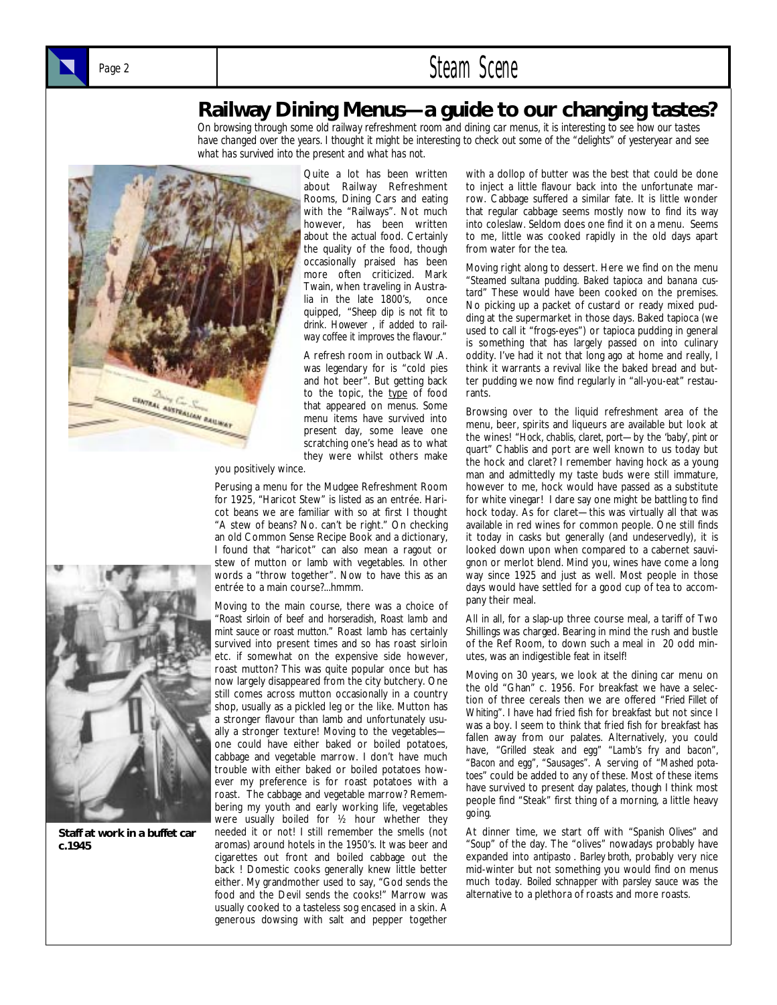### Page 2 **Steam Scene**

### **Railway Dining Menus—a guide to our changing tastes?**

*On browsing through some old railway refreshment room and dining car menus, it is interesting to see how our tastes have changed over the years. I thought it might be interesting to check out some of the "delights" of yesteryear and see what has survived into the present and what has not.* 



Quite a lot has been written about Railway Refreshment Rooms, Dining Cars and eating with the "Railways". Not much however, has been written about the actual food. Certainly the quality of the food, though occasionally praised has been more often criticized. Mark Twain, when traveling in Australia in the late 1800's, once quipped, "*Sheep dip is not fit to drink. However , if added to railway coffee it improves the flavour."* 

A refresh room in outback W.A. was legendary for is "cold pies and hot beer". But getting back to the topic, the type of food that appeared on menus. Some menu items have survived into present day, some leave one scratching one's head as to what they were whilst others make

you positively wince.

Perusing a menu for the Mudgee Refreshment Room for 1925, "Haricot Stew" is listed as an entrée. Haricot beans we are familiar with so at first I thought "A stew of beans? No. can't be right." On checking an old Common Sense Recipe Book and a dictionary, I found that "haricot" can also mean a ragout or stew of mutton or lamb with vegetables. In other words a "throw together". Now to have this as an entrée to a main course?...hmmm.

Moving to the main course, there was a choice of "*Roast sirloin of beef and horseradish, Roast lamb and mint sauce or roast mutton*." Roast lamb has certainly survived into present times and so has roast sirloin etc. if somewhat on the expensive side however, roast mutton? This was quite popular once but has now largely disappeared from the city butchery. One still comes across mutton occasionally in a country shop, usually as a pickled leg or the like. Mutton has a stronger flavour than lamb and unfortunately usually a stronger texture! Moving to the vegetables one could have either baked or boiled potatoes, cabbage and vegetable marrow. I don't have much trouble with either baked or boiled potatoes however my preference is for roast potatoes with a roast. The cabbage and vegetable marrow? Remembering my youth and early working life, vegetables were usually boiled for ½ hour whether they needed it or not! I still remember the smells (not aromas) around hotels in the 1950's. It was beer and cigarettes out front and boiled cabbage out the back ! Domestic cooks generally knew little better either. My grandmother used to say, "God sends the food and the Devil sends the cooks!" Marrow was usually cooked to a tasteless sog encased in a skin. A generous dowsing with salt and pepper together

with a dollop of butter was the best that could be done to inject a little flavour back into the unfortunate marrow. Cabbage suffered a similar fate. It is little wonder that regular cabbage seems mostly now to find its way into coleslaw. Seldom does one find it on a menu. Seems to me, little was cooked rapidly in the old days apart from water for the tea.

Moving right along to dessert. Here we find on the menu "*Steamed sultana pudding. Baked tapioca and banana custard*" These would have been cooked on the premises. No picking up a packet of custard or ready mixed pudding at the supermarket in those days. Baked tapioca (we used to call it "frogs-eyes") or tapioca pudding in general is something that has largely passed on into culinary oddity. I've had it not that long ago at home and really, I think it warrants a revival like the baked bread and butter pudding we now find regularly in "all-you-eat" restaurants.

Browsing over to the liquid refreshment area of the menu, beer, spirits and liqueurs are available but look at the wines! "*Hock, chablis, claret, port*—by the '*baby', pint or quart*" Chablis and port are well known to us today but the hock and claret? I remember having hock as a young man and admittedly my taste buds were still immature, however to me, hock would have passed as a substitute for white vinegar! I dare say one might be battling to find hock today. As for claret—this was virtually all that was available in red wines for common people. One still finds it today in casks but generally (and undeservedly), it is looked down upon when compared to a cabernet sauvignon or merlot blend. Mind you, wines have come a long way since 1925 and just as well. Most people in those days would have settled for a good cup of tea to accompany their meal.

All in all, for a slap-up three course meal, a tariff of Two Shillings was charged. Bearing in mind the rush and bustle of the Ref Room, to down such a meal in 20 odd minutes, was an indigestible feat in itself!

Moving on 30 years, we look at the dining car menu on the old "Ghan" c. 1956. For breakfast we have a selection of three cereals then we are offered "*Fried Fillet of Whiting"*. I have had fried fish for breakfast but not since I was a boy. I seem to think that fried fish for breakfast has fallen away from our palates. Alternatively, you could have, *"Grilled steak and egg" "Lamb's fry and bacon", "Bacon and egg", "Sausages"*. A serving of "*Mashed potatoes*" could be added to any of these. Most of these items have survived to present day palates, though I think most people find "Steak" first thing of a morning, a little heavy going.

At dinner time, we start off with "*Spanish Olives"* and "*Soup*" of the day. The "olives" nowadays probably have expanded into *antipasto* . *Barley broth*, probably very nice mid-winter but not something you would find on menus much today. *Boiled schnapper with parsley sauce* was the alternative to a plethora of roasts and more roasts.



**Staff at work in a buffet car c.1945**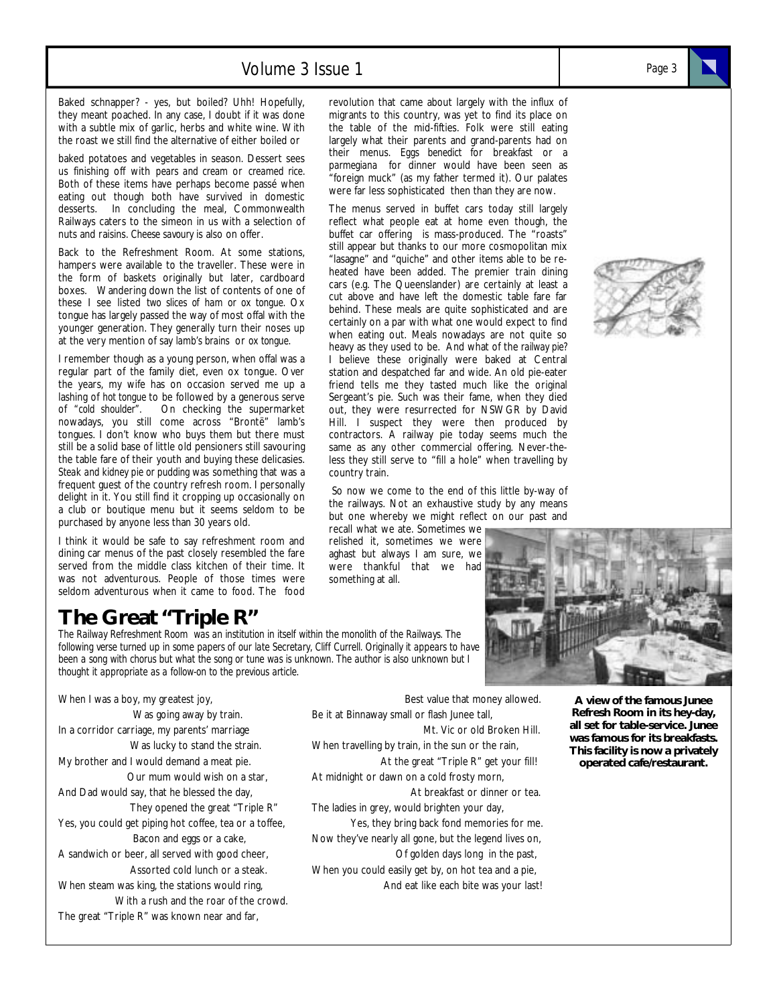### Volume 3 Issue 1 *Page 3*

Baked schnapper? - yes, but boiled? Uhh! Hopefully, they meant poached. In any case, I doubt if it was done with a subtle mix of garlic, herbs and white wine. With the roast we still find the alternative of either boiled or

baked potatoes and vegetables in season. Dessert sees us finishing off with *pears and cream* or *creamed rice.*  Both of these items have perhaps become passé when eating out though both have survived in domestic desserts. In concluding the meal, Commonwealth Railways caters to the simeon in us with a selection of nuts and raisins. *Cheese savoury* is also on offer.

Back to the Refreshment Room. At some stations, hampers were available to the traveller. These were in the form of baskets originally but later, cardboard boxes. Wandering down the list of contents of one of these I see listed *two slices of ham or ox tongue.* Ox tongue has largely passed the way of most offal with the younger generation. They generally turn their noses up at the very mention of say *lamb's brains* or *ox tongue.* 

I remember though as a young person, when offal was a regular part of the family diet, even ox tongue. Over the years, my wife has on occasion served me up a lashing of *hot tongue* to be followed by a generous serve of *"cold shoulder".* On checking the supermarket nowadays, you still come across "Brontë" lamb's tongues. I don't know who buys them but there must still be a solid base of little old pensioners still savouring the table fare of their youth and buying these delicasies. *Steak and kidney pie or pudding* was something that was a frequent guest of the country refresh room. I personally delight in it. You still find it cropping up occasionally on a club or boutique menu but it seems seldom to be purchased by anyone less than 30 years old.

I think it would be safe to say refreshment room and dining car menus of the past closely resembled the fare served from the middle class kitchen of their time. It was not adventurous. People of those times were seldom adventurous when it came to food. The food

### **The Great "Triple R"**

*The Railway Refreshment Room was an institution in itself within the monolith of the Railways. The following verse turned up in some papers of our late Secretary, Cliff Currell. Originally it appears to have been a song with chorus but what the song or tune was is unknown. The author is also unknown but I thought it appropriate as a follow-on to the previous article.* 

When I was a boy, my greatest joy, Was going away by train. In a corridor carriage, my parents' marriage Was lucky to stand the strain. My brother and I would demand a meat pie. Our mum would wish on a star, And Dad would say, that he blessed the day, They opened the great "Triple R" Yes, you could get piping hot coffee, tea or a toffee, Bacon and eggs or a cake, A sandwich or beer, all served with good cheer, Assorted cold lunch or a steak. When steam was king, the stations would ring, With a rush and the roar of the crowd. The great "Triple R" was known near and far,

revolution that came about largely with the influx of migrants to this country, was yet to find its place on the table of the mid-fifties. Folk were still eating largely what their parents and grand-parents had on their menus. *Eggs benedict* for breakfast or a *parmegiana* for dinner would have been seen as "foreign muck" (as my father termed it). Our palates were far less sophisticated then than they are now.

The menus served in buffet cars today still largely reflect what people eat at home even though, the buffet car offering is mass-produced. The "roasts" still appear but thanks to our more cosmopolitan mix "lasagne" and "quiche" and other items able to be reheated have been added. The premier train dining cars (e.g. The Queenslander) are certainly at least a cut above and have left the domestic table fare far behind. These meals are quite sophisticated and are certainly on a par with what one would expect to find when eating out. Meals nowadays are not quite so heavy as they used to be. And what of the *railway pie?*  I believe these originally were baked at Central station and despatched far and wide. An old pie-eater friend tells me they tasted much like the original Sergeant's pie. Such was their fame, when they died out, they were resurrected for NSWGR by David Hill. I suspect they were then produced by contractors. A railway pie today seems much the same as any other commercial offering. Never-theless they still serve to "fill a hole" when travelling by country train.

 So now we come to the end of this little by-way of the railways. Not an exhaustive study by any means but one whereby we might reflect on our past and recall what we ate. Sometimes we

relished it, sometimes we were aghast but always I am sure, we were thankful that we had something at all.





 Best value that money allowed. Be it at Binnaway small or flash Junee tall, Mt. Vic or old Broken Hill. When travelling by train, in the sun or the rain, At the great "Triple R" get your fill! At midnight or dawn on a cold frosty morn, At breakfast or dinner or tea. The ladies in grey, would brighten your day, Yes, they bring back fond memories for me. Now they've nearly all gone, but the legend lives on, Of golden days long in the past, When you could easily get by, on hot tea and a pie, And eat like each bite was your last!

**A view of the famous Junee Refresh Room in its hey-day, all set for table-service. Junee was famous for its breakfasts. This facility is now a privately operated cafe/restaurant.**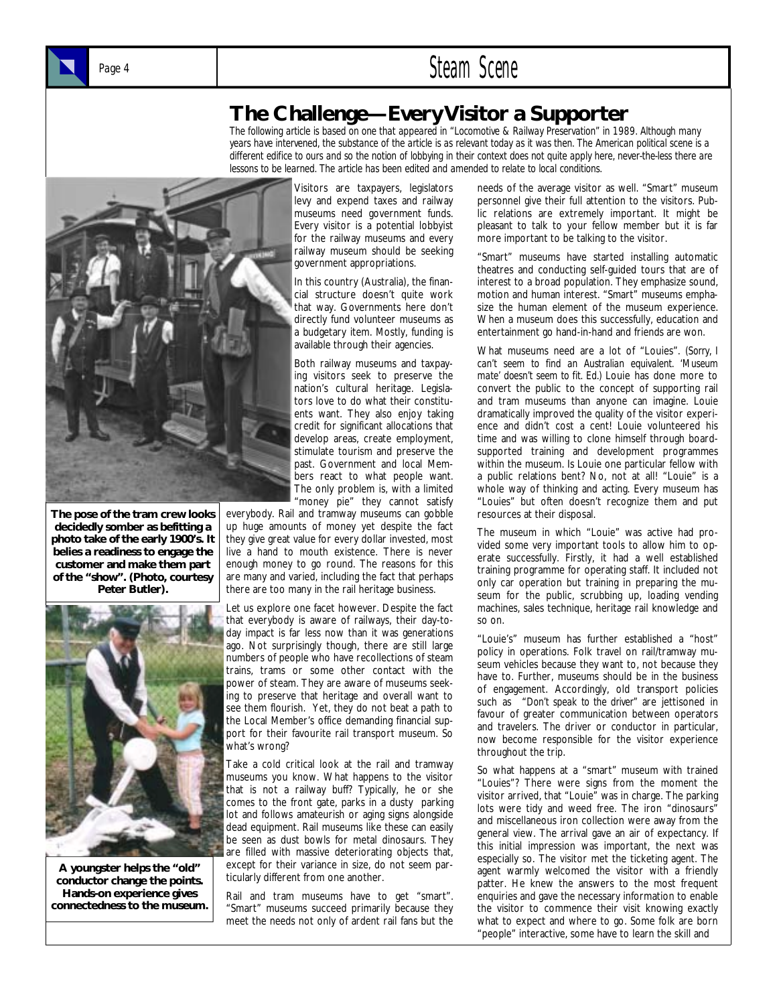



### **The Challenge—Every Visitor a Supporter**

*The following article is based on one that appeared in "Locomotive & Railway Preservation" in 1989. Although many years have intervened, the substance of the article is as relevant today as it was then. The American political scene is a different edifice to ours and so the notion of lobbying in their context does not quite apply here, never-the-less there are lessons to be learned. The article has been edited and amended to relate to local conditions.* 



**The pose of the tram crew looks decidedly somber as befitting a photo take of the early 1900's. It belies a readiness to engage the customer and make them part of the "show". (Photo, courtesy Peter Butler).** 



**A youngster helps the "old" conductor change the points. Hands-on experience gives connectedness to the museum.** 

Visitors are taxpayers, legislators levy and expend taxes and railway museums need government funds. Every visitor is a potential lobbyist for the railway museums and every railway museum should be seeking government appropriations.

In this country (Australia), the financial structure doesn't quite work that way. Governments here don't directly fund volunteer museums as a budgetary item. Mostly, funding is available through their agencies.

Both railway museums and taxpaying visitors seek to preserve the nation's cultural heritage. Legislators love to do what their constituents want. They also enjoy taking credit for significant allocations that develop areas, create employment, stimulate tourism and preserve the past. Government and local Members react to what people want. The only problem is, with a limited "money pie" they cannot satisfy

everybody. Rail and tramway museums can gobble up huge amounts of money yet despite the fact they give great value for every dollar invested, most live a hand to mouth existence. There is never enough money to go round. The reasons for this are many and varied, including the fact that perhaps there are too many in the rail heritage business.

Let us explore one facet however. Despite the fact that everybody is aware of railways, their day-today impact is far less now than it was generations ago. Not surprisingly though, there are still large numbers of people who have recollections of steam trains, trams or some other contact with the power of steam. They are aware of museums seeking to preserve that heritage and overall want to see them flourish. Yet, they do not beat a path to the Local Member's office demanding financial support for their favourite rail transport museum. So what's wrong?

Take a cold critical look at the rail and tramway museums you know. What happens to the visitor that is not a railway buff? Typically, he or she comes to the front gate, parks in a dusty parking lot and follows amateurish or aging signs alongside dead equipment. Rail museums like these can easily be seen as dust bowls for metal dinosaurs. They are filled with massive deteriorating objects that, except for their variance in size, do not seem particularly different from one another.

Rail and tram museums have to get "smart". "Smart" museums succeed primarily because they meet the needs not only of ardent rail fans but the needs of the average visitor as well. "Smart" museum personnel give their full attention to the visitors. Public relations are extremely important. It might be pleasant to talk to your fellow member but it is far more important to be talking to the visitor.

"Smart" museums have started installing automatic theatres and conducting self-guided tours that are of interest to a broad population. They emphasize sound, motion and human interest. "Smart" museums emphasize the human element of the museum experience. When a museum does this successfully, education and entertainment go hand-in-hand and friends are won.

What museums need are a lot of "Louies". *(Sorry, I can't seem to find an Australian equivalent. 'Museum mate' doesn't seem to fit. Ed.)* Louie has done more to convert the public to the concept of supporting rail and tram museums than anyone can imagine. Louie dramatically improved the quality of the visitor experience and didn't cost a cent! Louie volunteered his time and was willing to clone himself through boardsupported training and development programmes within the museum. Is Louie one particular fellow with a public relations bent? No, not at all! "Louie" is a whole way of thinking and acting. Every museum has "Louies" but often doesn't recognize them and put resources at their disposal.

The museum in which "Louie" was active had provided some very important tools to allow him to operate successfully. Firstly, it had a well established training programme for operating staff. It included not only car operation but training in preparing the museum for the public, scrubbing up, loading vending machines, sales technique, heritage rail knowledge and so on.

"Louie's" museum has further established a "host" policy in operations. Folk travel on rail/tramway museum vehicles because they want to, not because they have to. Further, museums should be in the business of engagement. Accordingly, old transport policies such as "*Don't speak to the driver"* are jettisoned in favour of greater communication between operators and travelers. The driver or conductor in particular, now become responsible for the visitor experience throughout the trip.

So what happens at a "smart" museum with trained "Louies"? There were signs from the moment the visitor arrived, that "Louie" was in charge. The parking lots were tidy and weed free. The iron "dinosaurs" and miscellaneous iron collection were away from the general view. The arrival gave an air of expectancy. If this initial impression was important, the next was especially so. The visitor met the ticketing agent. The agent warmly welcomed the visitor with a friendly patter. He knew the answers to the most frequent enquiries and gave the necessary information to enable the visitor to commence their visit knowing exactly what to expect and where to go. Some folk are born "people" interactive, some have to learn the skill and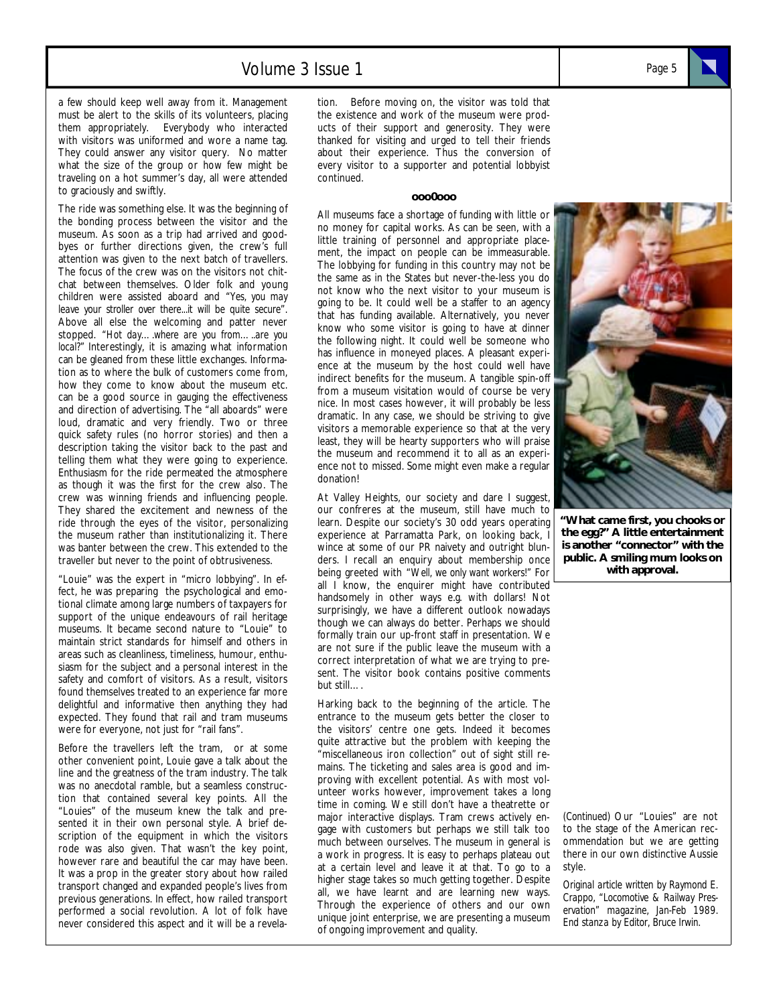a few should keep well away from it. Management must be alert to the skills of its volunteers, placing them appropriately. Everybody who interacted with visitors was uniformed and wore a name tag. They could answer any visitor query. No matter what the size of the group or how few might be traveling on a hot summer's day, all were attended to graciously and swiftly.

The ride was something else. It was the beginning of the bonding process between the visitor and the museum. As soon as a trip had arrived and goodbyes or further directions given, the crew's full attention was given to the next batch of travellers. The focus of the crew was on the visitors not chitchat between themselves. Older folk and young children were assisted aboard and "*Yes, you may leave your stroller over there...it will be quite secure*". Above all else the welcoming and patter never stopped. *"Hot day….where are you from…..are you local?"* Interestingly, it is amazing what information can be gleaned from these little exchanges. Information as to where the bulk of customers come from, how they come to know about the museum etc. can be a good source in gauging the effectiveness and direction of advertising. The "all aboards" were loud, dramatic and very friendly. Two or three quick safety rules (no horror stories) and then a description taking the visitor back to the past and telling them what they were going to experience. Enthusiasm for the ride permeated the atmosphere as though it was the first for the crew also. The crew was winning friends and influencing people. They shared the excitement and newness of the ride through the eyes of the visitor, personalizing the museum rather than institutionalizing it. There was banter between the crew. This extended to the traveller but never to the point of obtrusiveness.

"Louie" was the expert in "micro lobbying". In effect, he was preparing the psychological and emotional climate among large numbers of taxpayers for support of the unique endeavours of rail heritage museums. It became second nature to "Louie" to maintain strict standards for himself and others in areas such as cleanliness, timeliness, humour, enthusiasm for the subject and a personal interest in the safety and comfort of visitors. As a result, visitors found themselves treated to an experience far more delightful and informative then anything they had expected. They found that rail and tram museums were for everyone, not just for "rail fans".

Before the travellers left the tram, or at some other convenient point, Louie gave a talk about the line and the greatness of the tram industry. The talk was no anecdotal ramble, but a seamless construction that contained several key points. All the "Louies" of the museum knew the talk and presented it in their own personal style. A brief description of the equipment in which the visitors rode was also given. That wasn't the key point, however rare and beautiful the car may have been. It was a prop in the greater story about how railed transport changed and expanded people's lives from previous generations. In effect, how railed transport performed a social revolution. A lot of folk have never considered this aspect and it will be a revela-

tion. Before moving on, the visitor was told that the existence and work of the museum were products of their support and generosity. They were thanked for visiting and urged to tell their friends about their experience. Thus the conversion of every visitor to a supporter and potential lobbyist continued.

#### **ooo0ooo**

All museums face a shortage of funding with little or no money for capital works. As can be seen, with a little training of personnel and appropriate placement, the impact on people can be immeasurable. The lobbying for funding in this country may not be the same as in the States but never-the-less you do not know who the next visitor to your museum is going to be. It could well be a staffer to an agency that has funding available. Alternatively, you never know who some visitor is going to have at dinner the following night. It could well be someone who has influence in moneyed places. A pleasant experience at the museum by the host could well have indirect benefits for the museum. A tangible spin-off from a museum visitation would of course be very nice. In most cases however, it will probably be less dramatic. In any case, we should be striving to give visitors a memorable experience so that at the very least, they will be hearty supporters who will praise the museum and recommend it to all as an experience not to missed. Some might even make a regular donation!

At Valley Heights, our society and dare I suggest, our confreres at the museum, still have much to learn. Despite our society's 30 odd years operating experience at Parramatta Park, on looking back, I wince at some of our PR naivety and outright blunders. I recall an enquiry about membership once being greeted with "*Well, we only want workers!"* For all I know, the enquirer might have contributed handsomely in other ways e.g. with dollars! Not surprisingly, we have a different outlook nowadays though we can always do better. Perhaps we should formally train our up-front staff in presentation. We are not sure if the public leave the museum with a correct interpretation of what we are trying to present. The visitor book contains positive comments but still….

Harking back to the beginning of the article. The entrance to the museum gets better the closer to the visitors' centre one gets. Indeed it becomes quite attractive but the problem with keeping the "miscellaneous iron collection" out of sight still remains. The ticketing and sales area is good and improving with excellent potential. As with most volunteer works however, improvement takes a long time in coming. We still don't have a theatrette or major interactive displays. Tram crews actively engage with customers but perhaps we still talk too much between ourselves. The museum in general is a work in progress. It is easy to perhaps plateau out at a certain level and leave it at that. To go to a higher stage takes so much getting together. Despite all, we have learnt and are learning new ways. Through the experience of others and our own unique joint enterprise, we are presenting a museum of ongoing improvement and quality.



*(Continued)* Our "Louies" are not to the stage of the American recommendation but we are getting there in our own distinctive Aussie style.

*Original article written by Raymond E. Crappo, "Locomotive & Railway Preservation" magazine, Jan-Feb 1989. End stanza by Editor, Bruce Irwin.*